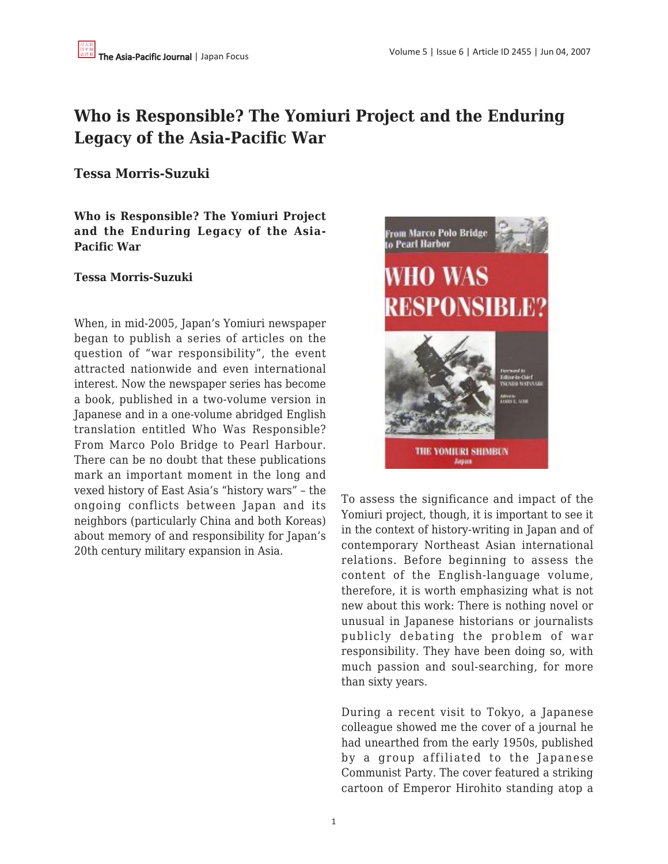# **Who is Responsible? The Yomiuri Project and the Enduring Legacy of the Asia-Pacific War**

**Tessa Morris-Suzuki**

**Who is Responsible? The Yomiuri Project and the Enduring Legacy of the Asia-Pacific War**

## **Tessa Morris-Suzuki**

When, in mid-2005, Japan's Yomiuri newspaper began to publish a series of articles on the question of "war responsibility", the event attracted nationwide and even international interest. Now the newspaper series has become a book, published in a two-volume version in Japanese and in a one-volume abridged English translation entitled Who Was Responsible? From Marco Polo Bridge to Pearl Harbour. There can be no doubt that these publications mark an important moment in the long and vexed history of East Asia's "history wars" – the ongoing conflicts between Japan and its neighbors (particularly China and both Koreas) about memory of and responsibility for Japan's 20th century military expansion in Asia.



To assess the significance and impact of the Yomiuri project, though, it is important to see it in the context of history-writing in Japan and of contemporary Northeast Asian international relations. Before beginning to assess the content of the English-language volume, therefore, it is worth emphasizing what is not new about this work: There is nothing novel or unusual in Japanese historians or journalists publicly debating the problem of war responsibility. They have been doing so, with much passion and soul-searching, for more than sixty years.

During a recent visit to Tokyo, a Japanese colleague showed me the cover of a journal he had unearthed from the early 1950s, published by a group affiliated to the Japanese Communist Party. The cover featured a striking cartoon of Emperor Hirohito standing atop a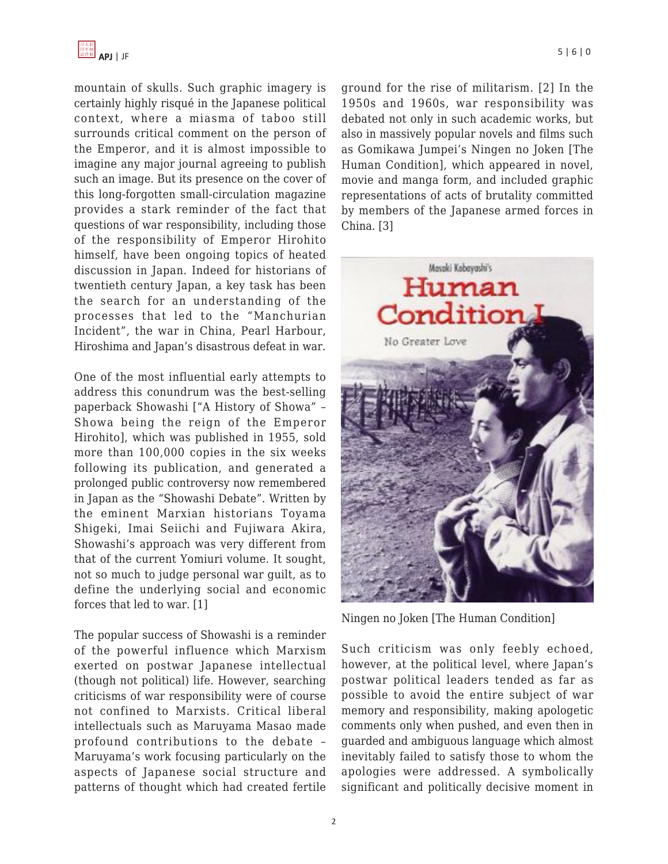

mountain of skulls. Such graphic imagery is certainly highly risqué in the Japanese political context, where a miasma of taboo still surrounds critical comment on the person of the Emperor, and it is almost impossible to imagine any major journal agreeing to publish such an image. But its presence on the cover of this long-forgotten small-circulation magazine provides a stark reminder of the fact that questions of war responsibility, including those of the responsibility of Emperor Hirohito himself, have been ongoing topics of heated discussion in Japan. Indeed for historians of twentieth century Japan, a key task has been the search for an understanding of the processes that led to the "Manchurian Incident", the war in China, Pearl Harbour, Hiroshima and Japan's disastrous defeat in war.

One of the most influential early attempts to address this conundrum was the best-selling paperback Showashi ["A History of Showa" – Showa being the reign of the Emperor Hirohito], which was published in 1955, sold more than 100,000 copies in the six weeks following its publication, and generated a prolonged public controversy now remembered in Japan as the "Showashi Debate". Written by the eminent Marxian historians Toyama Shigeki, Imai Seiichi and Fujiwara Akira, Showashi's approach was very different from that of the current Yomiuri volume. It sought, not so much to judge personal war guilt, as to define the underlying social and economic forces that led to war. [1]

The popular success of Showashi is a reminder of the powerful influence which Marxism exerted on postwar Japanese intellectual (though not political) life. However, searching criticisms of war responsibility were of course not confined to Marxists. Critical liberal intellectuals such as Maruyama Masao made profound contributions to the debate – Maruyama's work focusing particularly on the aspects of Japanese social structure and patterns of thought which had created fertile ground for the rise of militarism. [2] In the 1950s and 1960s, war responsibility was debated not only in such academic works, but also in massively popular novels and films such as Gomikawa Jumpei's Ningen no Joken [The Human Condition], which appeared in novel, movie and manga form, and included graphic representations of acts of brutality committed by members of the Japanese armed forces in China. [3]



Ningen no Joken [The Human Condition]

Such criticism was only feebly echoed, however, at the political level, where Japan's postwar political leaders tended as far as possible to avoid the entire subject of war memory and responsibility, making apologetic comments only when pushed, and even then in guarded and ambiguous language which almost inevitably failed to satisfy those to whom the apologies were addressed. A symbolically significant and politically decisive moment in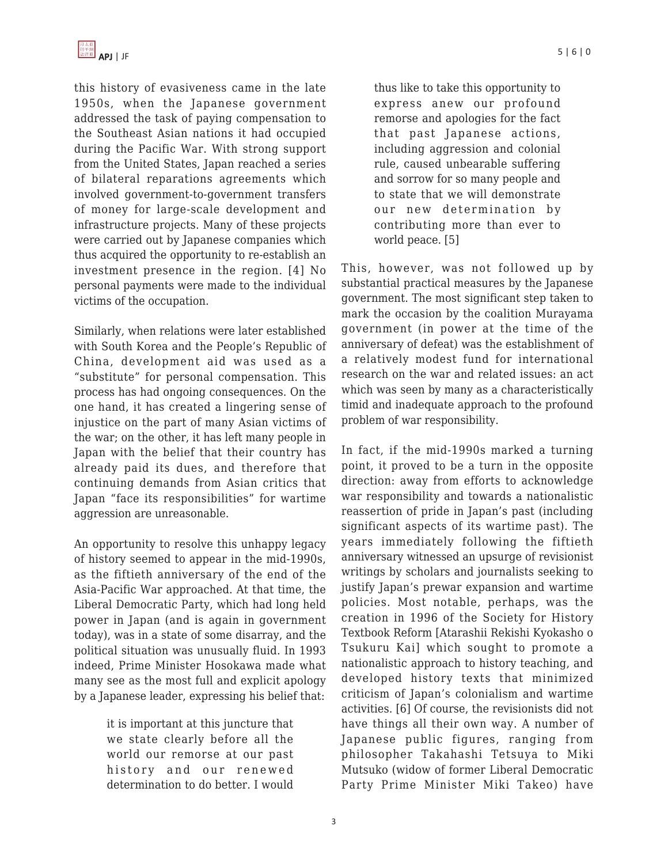this history of evasiveness came in the late 1950s, when the Japanese government addressed the task of paying compensation to the Southeast Asian nations it had occupied during the Pacific War. With strong support from the United States, Japan reached a series of bilateral reparations agreements which involved government-to-government transfers of money for large-scale development and infrastructure projects. Many of these projects were carried out by Japanese companies which thus acquired the opportunity to re-establish an investment presence in the region. [4] No personal payments were made to the individual victims of the occupation.

Similarly, when relations were later established with South Korea and the People's Republic of China, development aid was used as a "substitute" for personal compensation. This process has had ongoing consequences. On the one hand, it has created a lingering sense of injustice on the part of many Asian victims of the war; on the other, it has left many people in Japan with the belief that their country has already paid its dues, and therefore that continuing demands from Asian critics that Japan "face its responsibilities" for wartime aggression are unreasonable.

An opportunity to resolve this unhappy legacy of history seemed to appear in the mid-1990s, as the fiftieth anniversary of the end of the Asia-Pacific War approached. At that time, the Liberal Democratic Party, which had long held power in Japan (and is again in government today), was in a state of some disarray, and the political situation was unusually fluid. In 1993 indeed, Prime Minister Hosokawa made what many see as the most full and explicit apology by a Japanese leader, expressing his belief that:

> it is important at this juncture that we state clearly before all the world our remorse at our past history and our renewed determination to do better. I would

thus like to take this opportunity to express anew our profound remorse and apologies for the fact that past Japanese actions, including aggression and colonial rule, caused unbearable suffering and sorrow for so many people and to state that we will demonstrate our new determination by contributing more than ever to world peace. [5]

This, however, was not followed up by substantial practical measures by the Japanese government. The most significant step taken to mark the occasion by the coalition Murayama government (in power at the time of the anniversary of defeat) was the establishment of a relatively modest fund for international research on the war and related issues: an act which was seen by many as a characteristically timid and inadequate approach to the profound problem of war responsibility.

In fact, if the mid-1990s marked a turning point, it proved to be a turn in the opposite direction: away from efforts to acknowledge war responsibility and towards a nationalistic reassertion of pride in Japan's past (including significant aspects of its wartime past). The years immediately following the fiftieth anniversary witnessed an upsurge of revisionist writings by scholars and journalists seeking to justify Japan's prewar expansion and wartime policies. Most notable, perhaps, was the creation in 1996 of the Society for History Textbook Reform [Atarashii Rekishi Kyokasho o Tsukuru Kai] which sought to promote a nationalistic approach to history teaching, and developed history texts that minimized criticism of Japan's colonialism and wartime activities. [6] Of course, the revisionists did not have things all their own way. A number of Japanese public figures, ranging from philosopher Takahashi Tetsuya to Miki Mutsuko (widow of former Liberal Democratic Party Prime Minister Miki Takeo) have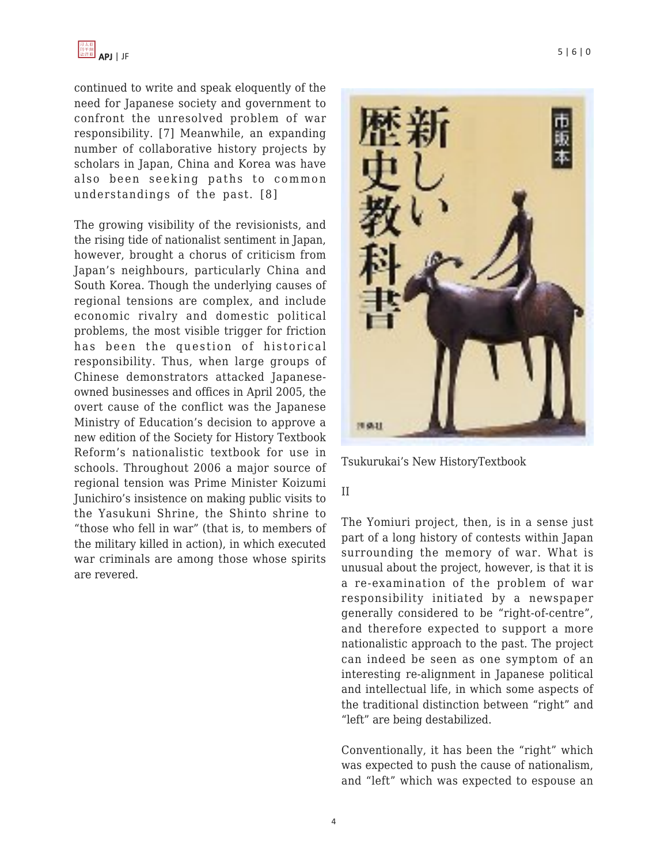continued to write and speak eloquently of the need for Japanese society and government to confront the unresolved problem of war responsibility. [7] Meanwhile, an expanding number of collaborative history projects by scholars in Japan, China and Korea was have also been seeking paths to common understandings of the past. [8]

The growing visibility of the revisionists, and the rising tide of nationalist sentiment in Japan, however, brought a chorus of criticism from Japan's neighbours, particularly China and South Korea. Though the underlying causes of regional tensions are complex, and include economic rivalry and domestic political problems, the most visible trigger for friction has been the question of historical responsibility. Thus, when large groups of Chinese demonstrators attacked Japaneseowned businesses and offices in April 2005, the overt cause of the conflict was the Japanese Ministry of Education's decision to approve a new edition of the Society for History Textbook Reform's nationalistic textbook for use in schools. Throughout 2006 a major source of regional tension was Prime Minister Koizumi Junichiro's insistence on making public visits to the Yasukuni Shrine, the Shinto shrine to "those who fell in war" (that is, to members of the military killed in action), in which executed war criminals are among those whose spirits are revered.



Tsukurukai's New HistoryTextbook

## II

The Yomiuri project, then, is in a sense just part of a long history of contests within Japan surrounding the memory of war. What is unusual about the project, however, is that it is a re-examination of the problem of war responsibility initiated by a newspaper generally considered to be "right-of-centre", and therefore expected to support a more nationalistic approach to the past. The project can indeed be seen as one symptom of an interesting re-alignment in Japanese political and intellectual life, in which some aspects of the traditional distinction between "right" and "left" are being destabilized.

Conventionally, it has been the "right" which was expected to push the cause of nationalism, and "left" which was expected to espouse an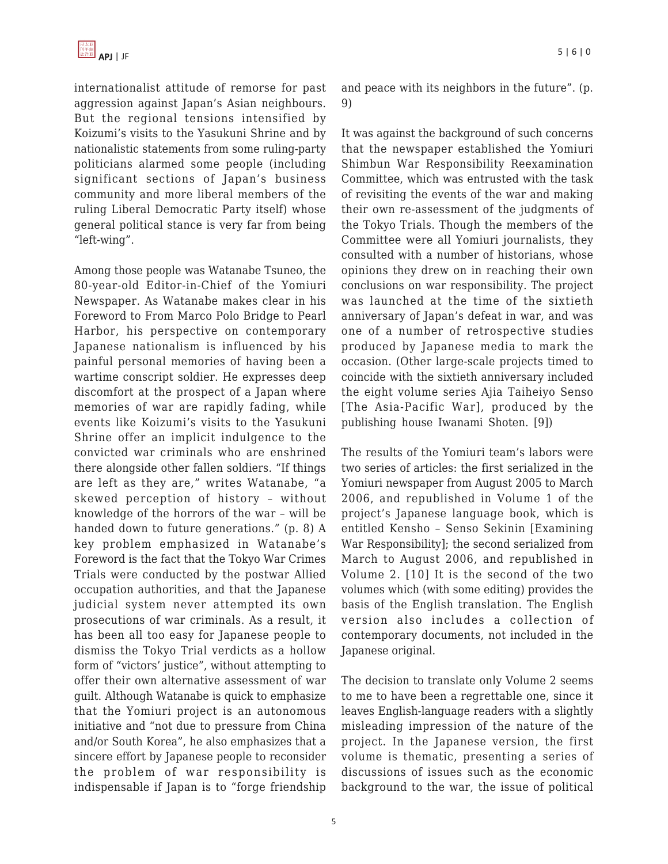internationalist attitude of remorse for past aggression against Japan's Asian neighbours. But the regional tensions intensified by Koizumi's visits to the Yasukuni Shrine and by nationalistic statements from some ruling-party politicians alarmed some people (including significant sections of Japan's business community and more liberal members of the ruling Liberal Democratic Party itself) whose general political stance is very far from being "left-wing".

Among those people was Watanabe Tsuneo, the 80-year-old Editor-in-Chief of the Yomiuri Newspaper. As Watanabe makes clear in his Foreword to From Marco Polo Bridge to Pearl Harbor, his perspective on contemporary Japanese nationalism is influenced by his painful personal memories of having been a wartime conscript soldier. He expresses deep discomfort at the prospect of a Japan where memories of war are rapidly fading, while events like Koizumi's visits to the Yasukuni Shrine offer an implicit indulgence to the convicted war criminals who are enshrined there alongside other fallen soldiers. "If things are left as they are," writes Watanabe, "a skewed perception of history – without knowledge of the horrors of the war – will be handed down to future generations." (p. 8) A key problem emphasized in Watanabe's Foreword is the fact that the Tokyo War Crimes Trials were conducted by the postwar Allied occupation authorities, and that the Japanese judicial system never attempted its own prosecutions of war criminals. As a result, it has been all too easy for Japanese people to dismiss the Tokyo Trial verdicts as a hollow form of "victors' justice", without attempting to offer their own alternative assessment of war guilt. Although Watanabe is quick to emphasize that the Yomiuri project is an autonomous initiative and "not due to pressure from China and/or South Korea", he also emphasizes that a sincere effort by Japanese people to reconsider the problem of war responsibility is indispensable if Japan is to "forge friendship and peace with its neighbors in the future". (p. 9)

It was against the background of such concerns that the newspaper established the Yomiuri Shimbun War Responsibility Reexamination Committee, which was entrusted with the task of revisiting the events of the war and making their own re-assessment of the judgments of the Tokyo Trials. Though the members of the Committee were all Yomiuri journalists, they consulted with a number of historians, whose opinions they drew on in reaching their own conclusions on war responsibility. The project was launched at the time of the sixtieth anniversary of Japan's defeat in war, and was one of a number of retrospective studies produced by Japanese media to mark the occasion. (Other large-scale projects timed to coincide with the sixtieth anniversary included the eight volume series Ajia Taiheiyo Senso [The Asia-Pacific War], produced by the publishing house Iwanami Shoten. [9])

The results of the Yomiuri team's labors were two series of articles: the first serialized in the Yomiuri newspaper from August 2005 to March 2006, and republished in Volume 1 of the project's Japanese language book, which is entitled Kensho – Senso Sekinin [Examining War Responsibility]; the second serialized from March to August 2006, and republished in Volume 2. [10] It is the second of the two volumes which (with some editing) provides the basis of the English translation. The English version also includes a collection of contemporary documents, not included in the Japanese original.

The decision to translate only Volume 2 seems to me to have been a regrettable one, since it leaves English-language readers with a slightly misleading impression of the nature of the project. In the Japanese version, the first volume is thematic, presenting a series of discussions of issues such as the economic background to the war, the issue of political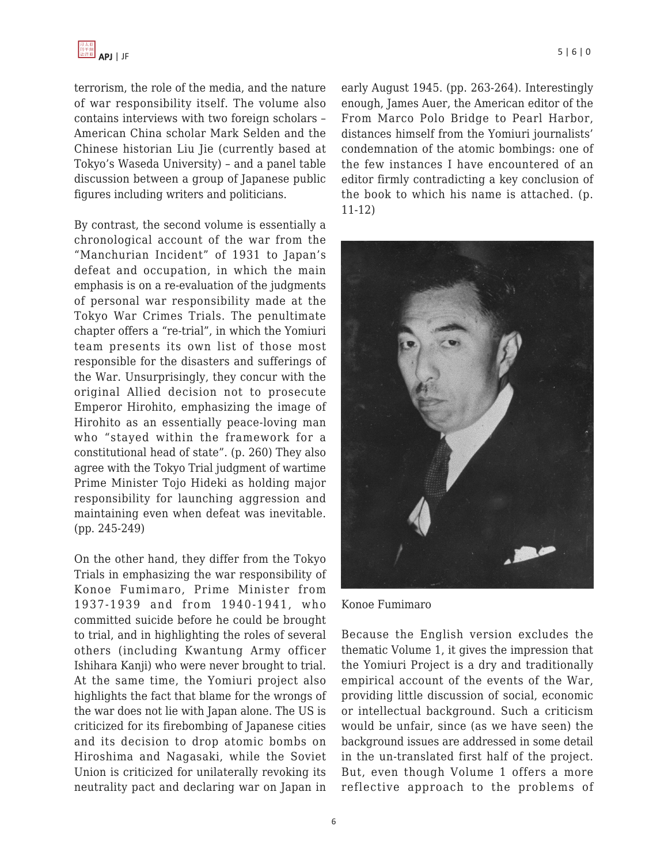terrorism, the role of the media, and the nature of war responsibility itself. The volume also contains interviews with two foreign scholars – American China scholar Mark Selden and the Chinese historian Liu Jie (currently based at Tokyo's Waseda University) – and a panel table discussion between a group of Japanese public figures including writers and politicians.

By contrast, the second volume is essentially a chronological account of the war from the "Manchurian Incident" of 1931 to Japan's defeat and occupation, in which the main emphasis is on a re-evaluation of the judgments of personal war responsibility made at the Tokyo War Crimes Trials. The penultimate chapter offers a "re-trial", in which the Yomiuri team presents its own list of those most responsible for the disasters and sufferings of the War. Unsurprisingly, they concur with the original Allied decision not to prosecute Emperor Hirohito, emphasizing the image of Hirohito as an essentially peace-loving man who "stayed within the framework for a constitutional head of state". (p. 260) They also agree with the Tokyo Trial judgment of wartime Prime Minister Tojo Hideki as holding major responsibility for launching aggression and maintaining even when defeat was inevitable. (pp. 245-249)

On the other hand, they differ from the Tokyo Trials in emphasizing the war responsibility of Konoe Fumimaro, Prime Minister from 1937-1939 and from 1940-1941, who committed suicide before he could be brought to trial, and in highlighting the roles of several others (including Kwantung Army officer Ishihara Kanji) who were never brought to trial. At the same time, the Yomiuri project also highlights the fact that blame for the wrongs of the war does not lie with Japan alone. The US is criticized for its firebombing of Japanese cities and its decision to drop atomic bombs on Hiroshima and Nagasaki, while the Soviet Union is criticized for unilaterally revoking its neutrality pact and declaring war on Japan in early August 1945. (pp. 263-264). Interestingly enough, James Auer, the American editor of the From Marco Polo Bridge to Pearl Harbor, distances himself from the Yomiuri journalists' condemnation of the atomic bombings: one of the few instances I have encountered of an editor firmly contradicting a key conclusion of the book to which his name is attached. (p. 11-12)



Konoe Fumimaro

Because the English version excludes the thematic Volume 1, it gives the impression that the Yomiuri Project is a dry and traditionally empirical account of the events of the War, providing little discussion of social, economic or intellectual background. Such a criticism would be unfair, since (as we have seen) the background issues are addressed in some detail in the un-translated first half of the project. But, even though Volume 1 offers a more reflective approach to the problems of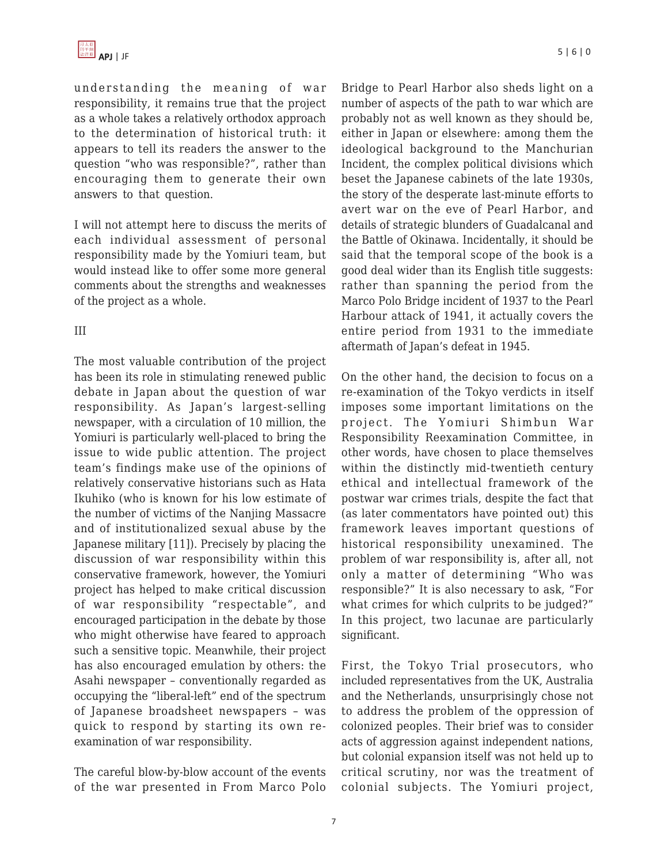understanding the meaning of war responsibility, it remains true that the project as a whole takes a relatively orthodox approach to the determination of historical truth: it appears to tell its readers the answer to the question "who was responsible?", rather than encouraging them to generate their own answers to that question.

I will not attempt here to discuss the merits of each individual assessment of personal responsibility made by the Yomiuri team, but would instead like to offer some more general comments about the strengths and weaknesses of the project as a whole.

#### III

The most valuable contribution of the project has been its role in stimulating renewed public debate in Japan about the question of war responsibility. As Japan's largest-selling newspaper, with a circulation of 10 million, the Yomiuri is particularly well-placed to bring the issue to wide public attention. The project team's findings make use of the opinions of relatively conservative historians such as Hata Ikuhiko (who is known for his low estimate of the number of victims of the Nanjing Massacre and of institutionalized sexual abuse by the Japanese military [11]). Precisely by placing the discussion of war responsibility within this conservative framework, however, the Yomiuri project has helped to make critical discussion of war responsibility "respectable", and encouraged participation in the debate by those who might otherwise have feared to approach such a sensitive topic. Meanwhile, their project has also encouraged emulation by others: the Asahi newspaper – conventionally regarded as occupying the "liberal-left" end of the spectrum of Japanese broadsheet newspapers – was quick to respond by starting its own reexamination of war responsibility.

The careful blow-by-blow account of the events of the war presented in From Marco Polo Bridge to Pearl Harbor also sheds light on a number of aspects of the path to war which are probably not as well known as they should be, either in Japan or elsewhere: among them the ideological background to the Manchurian Incident, the complex political divisions which beset the Japanese cabinets of the late 1930s, the story of the desperate last-minute efforts to avert war on the eve of Pearl Harbor, and details of strategic blunders of Guadalcanal and the Battle of Okinawa. Incidentally, it should be said that the temporal scope of the book is a good deal wider than its English title suggests: rather than spanning the period from the Marco Polo Bridge incident of 1937 to the Pearl Harbour attack of 1941, it actually covers the entire period from 1931 to the immediate aftermath of Japan's defeat in 1945.

On the other hand, the decision to focus on a re-examination of the Tokyo verdicts in itself imposes some important limitations on the project. The Yomiuri Shimbun War Responsibility Reexamination Committee, in other words, have chosen to place themselves within the distinctly mid-twentieth century ethical and intellectual framework of the postwar war crimes trials, despite the fact that (as later commentators have pointed out) this framework leaves important questions of historical responsibility unexamined. The problem of war responsibility is, after all, not only a matter of determining "Who was responsible?" It is also necessary to ask, "For what crimes for which culprits to be judged?" In this project, two lacunae are particularly significant.

First, the Tokyo Trial prosecutors, who included representatives from the UK, Australia and the Netherlands, unsurprisingly chose not to address the problem of the oppression of colonized peoples. Their brief was to consider acts of aggression against independent nations, but colonial expansion itself was not held up to critical scrutiny, nor was the treatment of colonial subjects. The Yomiuri project,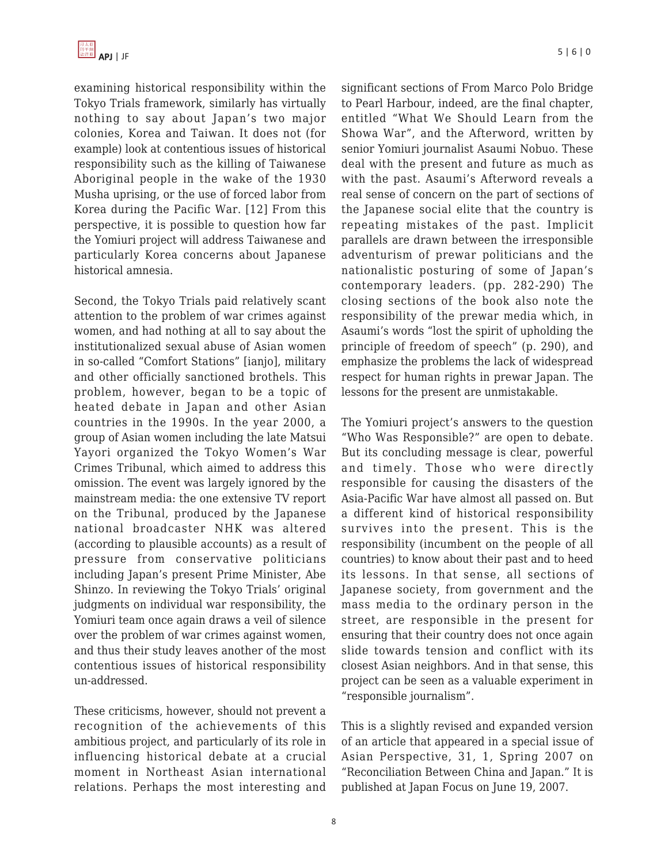examining historical responsibility within the Tokyo Trials framework, similarly has virtually nothing to say about Japan's two major colonies, Korea and Taiwan. It does not (for example) look at contentious issues of historical responsibility such as the killing of Taiwanese Aboriginal people in the wake of the 1930 Musha uprising, or the use of forced labor from Korea during the Pacific War. [12] From this perspective, it is possible to question how far the Yomiuri project will address Taiwanese and particularly Korea concerns about Japanese historical amnesia.

Second, the Tokyo Trials paid relatively scant attention to the problem of war crimes against women, and had nothing at all to say about the institutionalized sexual abuse of Asian women in so-called "Comfort Stations" [ianjo], military and other officially sanctioned brothels. This problem, however, began to be a topic of heated debate in Japan and other Asian countries in the 1990s. In the year 2000, a group of Asian women including the late Matsui Yayori organized the Tokyo Women's War Crimes Tribunal, which aimed to address this omission. The event was largely ignored by the mainstream media: the one extensive TV report on the Tribunal, produced by the Japanese national broadcaster NHK was altered (according to plausible accounts) as a result of pressure from conservative politicians including Japan's present Prime Minister, Abe Shinzo. In reviewing the Tokyo Trials' original judgments on individual war responsibility, the Yomiuri team once again draws a veil of silence over the problem of war crimes against women, and thus their study leaves another of the most contentious issues of historical responsibility un-addressed.

These criticisms, however, should not prevent a recognition of the achievements of this ambitious project, and particularly of its role in influencing historical debate at a crucial moment in Northeast Asian international relations. Perhaps the most interesting and significant sections of From Marco Polo Bridge to Pearl Harbour, indeed, are the final chapter, entitled "What We Should Learn from the Showa War", and the Afterword, written by senior Yomiuri journalist Asaumi Nobuo. These deal with the present and future as much as with the past. Asaumi's Afterword reveals a real sense of concern on the part of sections of the Japanese social elite that the country is repeating mistakes of the past. Implicit parallels are drawn between the irresponsible adventurism of prewar politicians and the nationalistic posturing of some of Japan's contemporary leaders. (pp. 282-290) The closing sections of the book also note the responsibility of the prewar media which, in Asaumi's words "lost the spirit of upholding the principle of freedom of speech" (p. 290), and emphasize the problems the lack of widespread respect for human rights in prewar Japan. The lessons for the present are unmistakable.

The Yomiuri project's answers to the question "Who Was Responsible?" are open to debate. But its concluding message is clear, powerful and timely. Those who were directly responsible for causing the disasters of the Asia-Pacific War have almost all passed on. But a different kind of historical responsibility survives into the present. This is the responsibility (incumbent on the people of all countries) to know about their past and to heed its lessons. In that sense, all sections of Japanese society, from government and the mass media to the ordinary person in the street, are responsible in the present for ensuring that their country does not once again slide towards tension and conflict with its closest Asian neighbors. And in that sense, this project can be seen as a valuable experiment in "responsible journalism".

This is a slightly revised and expanded version of an article that appeared in a special issue of Asian Perspective, 31, 1, Spring 2007 on "Reconciliation Between China and Japan." It is published at Japan Focus on June 19, 2007.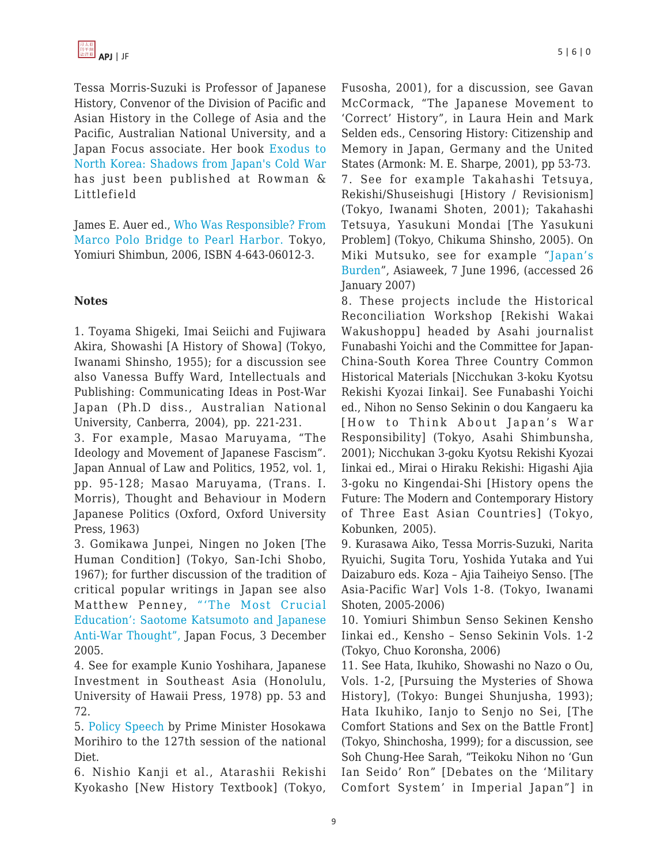Tessa Morris-Suzuki is Professor of Japanese History, Convenor of the Division of Pacific and Asian History in the College of Asia and the Pacific, Australian National University, and a Japan Focus associate. Her book [Exodus to](http://www.rowmanlittlefield.com/Catalog/SingleBook.shtml?command=Search&db=^DB/CATALOG.db&eqSKUdata=0742554422&thepassedurl=[thepassedurl]) [North Korea: Shadows from Japan's Cold War](http://www.rowmanlittlefield.com/Catalog/SingleBook.shtml?command=Search&db=^DB/CATALOG.db&eqSKUdata=0742554422&thepassedurl=[thepassedurl]) has just been published at Rowman & Littlefield

James E. Auer ed., [Who Was Responsible? From](http://www.amazon.com/s/ref=nb_ss_gw/102-7249759-8137712?url=search-alias%3Daps&field-keywords=james+E.+auer%2C+From+Marco+Polo+Bridge&Go.x=0&Go.y=0&Go=Go) [Marco Polo Bridge to Pearl Harbor.](http://www.amazon.com/s/ref=nb_ss_gw/102-7249759-8137712?url=search-alias%3Daps&field-keywords=james+E.+auer%2C+From+Marco+Polo+Bridge&Go.x=0&Go.y=0&Go=Go) Tokyo, Yomiuri Shimbun, 2006, ISBN 4-643-06012-3.

## **Notes**

1. Toyama Shigeki, Imai Seiichi and Fujiwara Akira, Showashi [A History of Showa] (Tokyo, Iwanami Shinsho, 1955); for a discussion see also Vanessa Buffy Ward, Intellectuals and Publishing: Communicating Ideas in Post-War Japan (Ph.D diss., Australian National University, Canberra, 2004), pp. 221-231.

3. For example, Masao Maruyama, "The Ideology and Movement of Japanese Fascism". Japan Annual of Law and Politics, 1952, vol. 1, pp. 95-128; Masao Maruyama, (Trans. I. Morris), Thought and Behaviour in Modern Japanese Politics (Oxford, Oxford University Press, 1963)

3. Gomikawa Junpei, Ningen no Joken [The Human Condition] (Tokyo, San-Ichi Shobo, 1967); for further discussion of the tradition of critical popular writings in Japan see also Matthew Penney, ["'The Most Crucial](http://japanfocus.org/products/details/1640 , accessed 29 March 2007) [Education': Saotome Katsumoto and Japanese](http://japanfocus.org/products/details/1640 , accessed 29 March 2007) [Anti-War Thought", J](http://japanfocus.org/products/details/1640 , accessed 29 March 2007)apan Focus, 3 December 2005.

4. See for example Kunio Yoshihara, Japanese Investment in Southeast Asia (Honolulu, University of Hawaii Press, 1978) pp. 53 and 72.

5. [Policy Speech](http://www.kantei.go.jp/foreign/127.html , accessed 24 January 2007) by Prime Minister Hosokawa Morihiro to the 127th session of the national Diet.

6. Nishio Kanji et al., Atarashii Rekishi Kyokasho [New History Textbook] (Tokyo, Fusosha, 2001), for a discussion, see Gavan McCormack, "The Japanese Movement to 'Correct' History", in Laura Hein and Mark Selden eds., Censoring History: Citizenship and Memory in Japan, Germany and the United States (Armonk: M. E. Sharpe, 2001), pp 53-73. 7. See for example Takahashi Tetsuya, Rekishi/Shuseishugi [History / Revisionism] (Tokyo, Iwanami Shoten, 2001); Takahashi Tetsuya, Yasukuni Mondai [The Yasukuni Problem] (Tokyo, Chikuma Shinsho, 2005). On Miki Mutsuko, see for example "[Japan's](http://www.asiaweek.com/asiaweek/96/0607/ed2.html) [Burden](http://www.asiaweek.com/asiaweek/96/0607/ed2.html)", Asiaweek, 7 June 1996, (accessed 26 January 2007)

8. These projects include the Historical Reconciliation Workshop [Rekishi Wakai Wakushoppu] headed by Asahi journalist Funabashi Yoichi and the Committee for Japan-China-South Korea Three Country Common Historical Materials [Nicchukan 3-koku Kyotsu Rekishi Kyozai Iinkai]. See Funabashi Yoichi ed., Nihon no Senso Sekinin o dou Kangaeru ka [How to Think About Japan's War Responsibility] (Tokyo, Asahi Shimbunsha, 2001); Nicchukan 3-goku Kyotsu Rekishi Kyozai Iinkai ed., Mirai o Hiraku Rekishi: Higashi Ajia 3-goku no Kingendai-Shi [History opens the Future: The Modern and Contemporary History of Three East Asian Countries] (Tokyo, Kobunken, 2005).

9. Kurasawa Aiko, Tessa Morris-Suzuki, Narita Ryuichi, Sugita Toru, Yoshida Yutaka and Yui Daizaburo eds. Koza – Ajia Taiheiyo Senso. [The Asia-Pacific War] Vols 1-8. (Tokyo, Iwanami Shoten, 2005-2006)

10. Yomiuri Shimbun Senso Sekinen Kensho Iinkai ed., Kensho – Senso Sekinin Vols. 1-2 (Tokyo, Chuo Koronsha, 2006)

11. See Hata, Ikuhiko, Showashi no Nazo o Ou, Vols. 1-2, [Pursuing the Mysteries of Showa History], (Tokyo: Bungei Shunjusha, 1993); Hata Ikuhiko, Ianjo to Senjo no Sei, [The Comfort Stations and Sex on the Battle Front] (Tokyo, Shinchosha, 1999); for a discussion, see Soh Chung-Hee Sarah, "Teikoku Nihon no 'Gun Ian Seido' Ron" [Debates on the 'Military Comfort System' in Imperial Japan"] in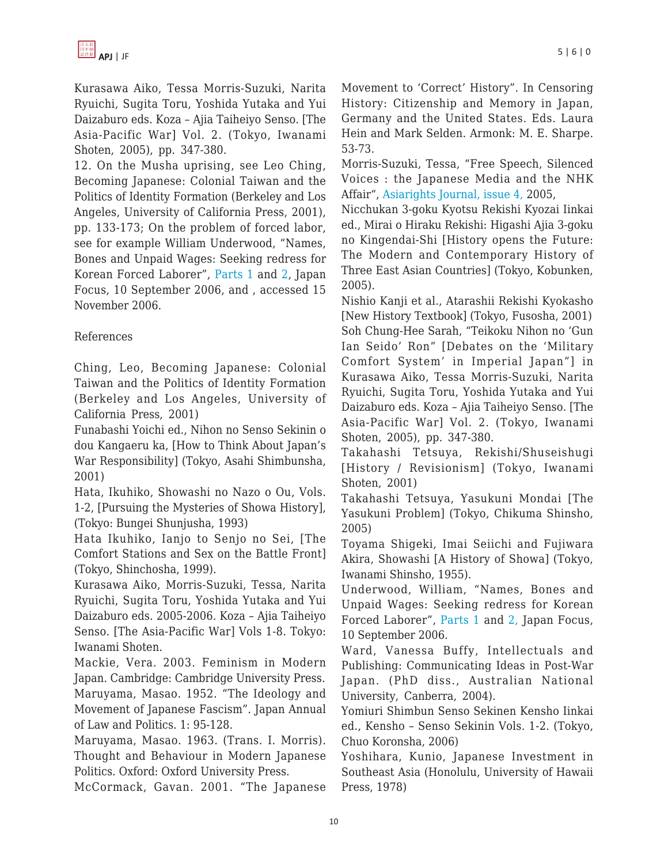Kurasawa Aiko, Tessa Morris-Suzuki, Narita Ryuichi, Sugita Toru, Yoshida Yutaka and Yui Daizaburo eds. Koza – Ajia Taiheiyo Senso. [The Asia-Pacific War] Vol. 2. (Tokyo, Iwanami Shoten, 2005), pp. 347-380.

12. On the Musha uprising, see Leo Ching, Becoming Japanese: Colonial Taiwan and the Politics of Identity Formation (Berkeley and Los Angeles, University of California Press, 2001), pp. 133-173; On the problem of forced labor, see for example William Underwood, "Names, Bones and Unpaid Wages: Seeking redress for Korean Forced Laborer", [Parts 1](http://www.japanfocus.org/products/details/2219) and [2](http://www.japanfocus.org/products/details/2225), Japan Focus, 10 September 2006, and , accessed 15 November 2006.

# References

Ching, Leo, Becoming Japanese: Colonial Taiwan and the Politics of Identity Formation (Berkeley and Los Angeles, University of California Press, 2001)

Funabashi Yoichi ed., Nihon no Senso Sekinin o dou Kangaeru ka, [How to Think About Japan's War Responsibility] (Tokyo, Asahi Shimbunsha, 2001)

Hata, Ikuhiko, Showashi no Nazo o Ou, Vols. 1-2, [Pursuing the Mysteries of Showa History], (Tokyo: Bungei Shunjusha, 1993)

Hata Ikuhiko, Ianjo to Senjo no Sei, [The Comfort Stations and Sex on the Battle Front] (Tokyo, Shinchosha, 1999).

Kurasawa Aiko, Morris-Suzuki, Tessa, Narita Ryuichi, Sugita Toru, Yoshida Yutaka and Yui Daizaburo eds. 2005-2006. Koza – Ajia Taiheiyo Senso. [The Asia-Pacific War] Vols 1-8. Tokyo: Iwanami Shoten.

Mackie, Vera. 2003. Feminism in Modern Japan. Cambridge: Cambridge University Press. Maruyama, Masao. 1952. "The Ideology and Movement of Japanese Fascism". Japan Annual of Law and Politics. 1: 95-128.

Maruyama, Masao. 1963. (Trans. I. Morris). Thought and Behaviour in Modern Japanese Politics. Oxford: Oxford University Press.

McCormack, Gavan. 2001. "The Japanese

Movement to 'Correct' History". In Censoring History: Citizenship and Memory in Japan, Germany and the United States. Eds. Laura Hein and Mark Selden. Armonk: M. E. Sharpe. 53-73.

Morris-Suzuki, Tessa, "Free Speech, Silenced Voices : the Japanese Media and the NHK Affair", [Asiarights Journal, issue 4,](http://rspas.anu.edu.au/asiarightsjournal/Morris_Suzuki.htm) 2005,

Nicchukan 3-goku Kyotsu Rekishi Kyozai Iinkai ed., Mirai o Hiraku Rekishi: Higashi Ajia 3-goku no Kingendai-Shi [History opens the Future: The Modern and Contemporary History of Three East Asian Countries] (Tokyo, Kobunken, 2005).

Nishio Kanji et al., Atarashii Rekishi Kyokasho [New History Textbook] (Tokyo, Fusosha, 2001) Soh Chung-Hee Sarah, "Teikoku Nihon no 'Gun Ian Seido' Ron" [Debates on the 'Military Comfort System' in Imperial Japan"] in Kurasawa Aiko, Tessa Morris-Suzuki, Narita Ryuichi, Sugita Toru, Yoshida Yutaka and Yui Daizaburo eds. Koza – Ajia Taiheiyo Senso. [The Asia-Pacific War] Vol. 2. (Tokyo, Iwanami Shoten, 2005), pp. 347-380.

Takahashi Tetsuya, Rekishi/Shuseishugi [History / Revisionism] (Tokyo, Iwanami Shoten, 2001)

Takahashi Tetsuya, Yasukuni Mondai [The Yasukuni Problem] (Tokyo, Chikuma Shinsho, 2005)

Toyama Shigeki, Imai Seiichi and Fujiwara Akira, Showashi [A History of Showa] (Tokyo, Iwanami Shinsho, 1955).

Underwood, William, "Names, Bones and Unpaid Wages: Seeking redress for Korean Forced Laborer", [Parts 1](http://www.japanfocus.org/products/details/2219) and [2,](http://www.japanfocus.org/products/details/2225) Japan Focus, 10 September 2006.

Ward, Vanessa Buffy, Intellectuals and Publishing: Communicating Ideas in Post-War Japan. (PhD diss., Australian National University, Canberra, 2004).

Yomiuri Shimbun Senso Sekinen Kensho Iinkai ed., Kensho – Senso Sekinin Vols. 1-2. (Tokyo, Chuo Koronsha, 2006)

Yoshihara, Kunio, Japanese Investment in Southeast Asia (Honolulu, University of Hawaii Press, 1978)